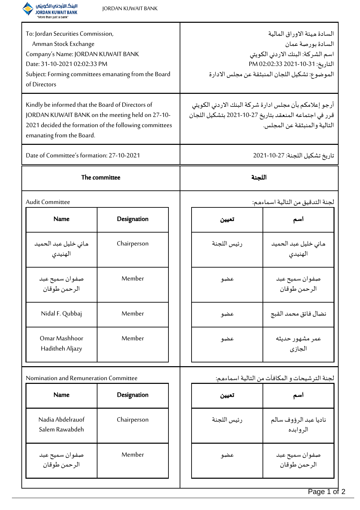

صفوان سميح عبد الرحمن طوقان

Member

| To: Jordan Securities Commission,<br>Amman Stock Exchange<br>Company's Name: JORDAN KUWAIT BANK<br>Date: 31-10-2021 02:02:33 PM<br>Subject: Forming committees emanating from the Board<br>of Directors |             |  | السادة ميئة الاوراق المالية<br>السادة بورصة عمان<br>اسم الشركة: البنك الاردني الكويتي<br>التاريخ: 11-10-2021 02:02:33 PM<br>الموضوع: تشكيل اللجان المنبثقة عن مجلس الادارة |                                   |  |
|---------------------------------------------------------------------------------------------------------------------------------------------------------------------------------------------------------|-------------|--|----------------------------------------------------------------------------------------------------------------------------------------------------------------------------|-----------------------------------|--|
| Kindly be informed that the Board of Directors of<br>JORDAN KUWAIT BANK on the meeting held on 27-10-<br>2021 decided the formation of the following committees<br>emanating from the Board.            |             |  | أرجو إعلامكم بأن مجلس ادارة شركة البنك الاردني الكويتي<br>قرر في اجتماعه المنعقد بتاريخ 27-10-2021 بتشكيل اللجان<br>التالية والمنبثقة عن المجلس.                           |                                   |  |
| Date of Committee's formation: 27-10-2021                                                                                                                                                               |             |  | تاريخ تشكيل اللجنة: 27-10-2021                                                                                                                                             |                                   |  |
| The committee                                                                                                                                                                                           |             |  | اللجنة                                                                                                                                                                     |                                   |  |
| Audit Committee                                                                                                                                                                                         |             |  | لجنة التدقيق من التالية اسماءهم:                                                                                                                                           |                                   |  |
| <b>Name</b>                                                                                                                                                                                             | Designation |  | تعيين                                                                                                                                                                      | اسم                               |  |
| هانى خليل عبد الحميد<br>الهنيدى                                                                                                                                                                         | Chairperson |  | رئيس اللجنة                                                                                                                                                                | هانى خليل عبد الحميد<br>الهنيدي   |  |
| صفوان سميح عبد<br>الرحمن طوقان                                                                                                                                                                          | Member      |  | عضو                                                                                                                                                                        | صفوان سميح عبد<br>الرحمن طوقان    |  |
| Nidal F. Qubbaj                                                                                                                                                                                         | Member      |  | عضو                                                                                                                                                                        | نضال فائق محمد القبج              |  |
| Omar Mashhoor<br>Haditheh Aljazy                                                                                                                                                                        | Member      |  | عضو                                                                                                                                                                        | عمر مشهور حديثه<br>الجازي         |  |
| Nomination and Remuneration Committee<br>لجنة الترشيحات و المكافآت من التالية اسماءهم:                                                                                                                  |             |  |                                                                                                                                                                            |                                   |  |
| <b>Name</b>                                                                                                                                                                                             | Designation |  | تعيين                                                                                                                                                                      | اسم                               |  |
| Nadia Abdelrauof<br>Salem Rawabdeh                                                                                                                                                                      | Chairperson |  | رئيس اللجنة                                                                                                                                                                | ناديا عبد الرؤوف سالم<br>الروابده |  |

Page 1 of 2

صفوان سميح عبد العضو

الرحمن طوقان